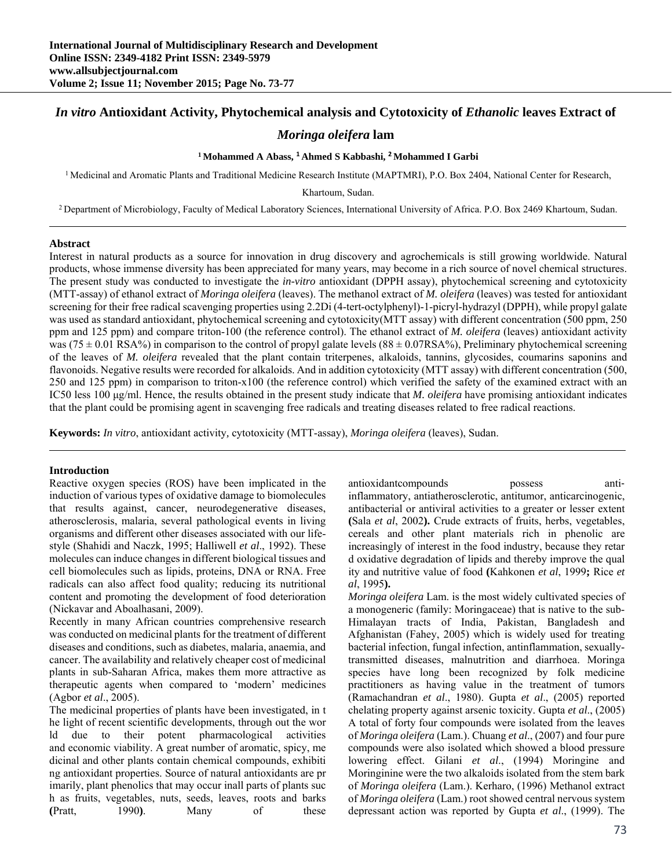# *In vitro* **Antioxidant Activity, Phytochemical analysis and Cytotoxicity of** *Ethanolic* **leaves Extract of**

# *Moringa oleifera* **lam**

#### **1 Mohammed A Abass, <sup>1</sup> Ahmed S Kabbashi, <sup>2</sup> Mohammed I Garbi**

<sup>1</sup> Medicinal and Aromatic Plants and Traditional Medicine Research Institute (MAPTMRI), P.O. Box 2404, National Center for Research,

Khartoum, Sudan.

2 Department of Microbiology, Faculty of Medical Laboratory Sciences, International University of Africa. P.O. Box 2469 Khartoum, Sudan.

#### **Abstract**

Interest in natural products as a source for innovation in drug discovery and agrochemicals is still growing worldwide. Natural products, whose immense diversity has been appreciated for many years, may become in a rich source of novel chemical structures. The present study was conducted to investigate the *in-vitro* antioxidant (DPPH assay), phytochemical screening and cytotoxicity (MTT-assay) of ethanol extract of *Moringa oleifera* (leaves). The methanol extract of *M. oleifera* (leaves) was tested for antioxidant screening for their free radical scavenging properties using 2.2Di (4-tert-octylphenyl)-1-picryl-hydrazyl (DPPH), while propyl galate was used as standard antioxidant, phytochemical screening and cytotoxicity(MTT assay) with different concentration (500 ppm, 250 ppm and 125 ppm) and compare triton-100 (the reference control). The ethanol extract of *M. oleifera* (leaves) antioxidant activity was ( $75 \pm 0.01$  RSA%) in comparison to the control of propyl galate levels ( $88 \pm 0.07$ RSA%), Preliminary phytochemical screening of the leaves of *M. oleifera* revealed that the plant contain triterpenes, alkaloids, tannins, glycosides, coumarins saponins and flavonoids. Negative results were recorded for alkaloids. And in addition cytotoxicity (MTT assay) with different concentration (500, 250 and 125 ppm) in comparison to triton-x100 (the reference control) which verified the safety of the examined extract with an IC50 less 100 μg/ml. Hence, the results obtained in the present study indicate that *M. oleifera* have promising antioxidant indicates that the plant could be promising agent in scavenging free radicals and treating diseases related to free radical reactions.

**Keywords:** *In vitro*, antioxidant activity*,* cytotoxicity (MTT-assay), *Moringa oleifera* (leaves), Sudan.

#### **Introduction**

Reactive oxygen species (ROS) have been implicated in the induction of various types of oxidative damage to biomolecules that results against, cancer, neurodegenerative diseases, atherosclerosis, malaria, several pathological events in living organisms and different other diseases associated with our lifestyle (Shahidi and Naczk, 1995; Halliwell *et al*., 1992). These molecules can induce changes in different biological tissues and cell biomolecules such as lipids, proteins, DNA or RNA. Free radicals can also affect food quality; reducing its nutritional content and promoting the development of food deterioration (Nickavar and Aboalhasani, 2009).

Recently in many African countries comprehensive research was conducted on medicinal plants for the treatment of different diseases and conditions, such as diabetes, malaria, anaemia, and cancer. The availability and relatively cheaper cost of medicinal plants in sub-Saharan Africa, makes them more attractive as therapeutic agents when compared to 'modern' medicines (Agbor *et al*., 2005).

The medicinal properties of plants have been investigated, in t he light of recent scientific developments, through out the wor ld due to their potent pharmacological activities and economic viability. A great number of aromatic, spicy, me dicinal and other plants contain chemical compounds, exhibiti ng antioxidant properties. Source of natural antioxidants are pr imarily, plant phenolics that may occur inall parts of plants suc h as fruits, vegetables, nuts, seeds, leaves, roots and barks **(**Pratt, 1990**)**. Many of these

antioxidantcompounds possess antiinflammatory, antiatherosclerotic, antitumor, anticarcinogenic, antibacterial or antiviral activities to a greater or lesser extent **(**Sala *et al*, 2002**).** Crude extracts of fruits, herbs, vegetables, cereals and other plant materials rich in phenolic are increasingly of interest in the food industry, because they retar d oxidative degradation of lipids and thereby improve the qual ity and nutritive value of food **(**Kahkonen *et al*, 1999**;** Rice *et al*, 1995**).**

*Moringa oleifera* Lam. is the most widely cultivated species of a monogeneric (family: Moringaceae) that is native to the sub-Himalayan tracts of India, Pakistan, Bangladesh and Afghanistan (Fahey, 2005) which is widely used for treating bacterial infection, fungal infection, antinflammation, sexuallytransmitted diseases, malnutrition and diarrhoea. Moringa species have long been recognized by folk medicine practitioners as having value in the treatment of tumors (Ramachandran *et al*., 1980). Gupta *et al*., (2005) reported chelating property against arsenic toxicity. Gupta *et al*., (2005) A total of forty four compounds were isolated from the leaves of *Moringa oleifera* (Lam.). Chuang *et al*., (2007) and four pure compounds were also isolated which showed a blood pressure lowering effect. Gilani *et al*., (1994) Moringine and Moringinine were the two alkaloids isolated from the stem bark of *Moringa oleifera* (Lam.). Kerharo, (1996) Methanol extract of *Moringa oleifera* (Lam.) root showed central nervous system depressant action was reported by Gupta *et al*., (1999). The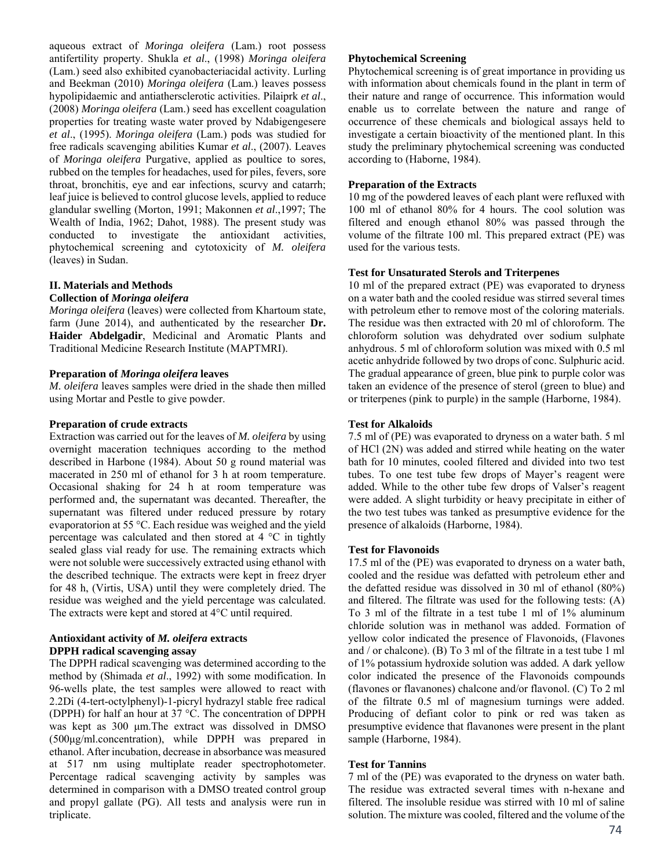aqueous extract of *Moringa oleifera* (Lam.) root possess antifertility property. Shukla *et al*., (1998) *Moringa oleifera* (Lam.) seed also exhibited cyanobacteriacidal activity. Lurling and Beekman (2010) *Moringa oleifera* (Lam.) leaves possess hypolipidaemic and antiathersclerotic activities. Pilaiprk *et al*., (2008) *Moringa oleifera* (Lam.) seed has excellent coagulation properties for treating waste water proved by Ndabigengesere *et al*., (1995). *Moringa oleifera* (Lam.) pods was studied for free radicals scavenging abilities Kumar *et al*., (2007). Leaves of *Moringa oleifera* Purgative, applied as poultice to sores, rubbed on the temples for headaches, used for piles, fevers, sore throat, bronchitis, eye and ear infections, scurvy and catarrh; leaf juice is believed to control glucose levels, applied to reduce glandular swelling (Morton, 1991; Makonnen *et al*.,1997; The Wealth of India, 1962; Dahot, 1988). The present study was conducted to investigate the antioxidant activities, phytochemical screening and cytotoxicity of *M. oleifera* (leaves) in Sudan.

# **II. Materials and Methods**

# **Collection of** *Moringa oleifera*

*Moringa oleifera* (leaves) were collected from Khartoum state, farm (June 2014), and authenticated by the researcher **Dr. Haider Abdelgadir**, Medicinal and Aromatic Plants and Traditional Medicine Research Institute (MAPTMRI).

## **Preparation of** *Moringa oleifera* **leaves**

*M. oleifera* leaves samples were dried in the shade then milled using Mortar and Pestle to give powder.

## **Preparation of crude extracts**

Extraction was carried out for the leaves of *M. oleifera* by using overnight maceration techniques according to the method described in Harbone (1984). About 50 g round material was macerated in 250 ml of ethanol for 3 h at room temperature. Occasional shaking for 24 h at room temperature was performed and, the supernatant was decanted. Thereafter, the supernatant was filtered under reduced pressure by rotary evaporatorion at 55 °C. Each residue was weighed and the yield percentage was calculated and then stored at 4 °C in tightly sealed glass vial ready for use. The remaining extracts which were not soluble were successively extracted using ethanol with the described technique. The extracts were kept in freez dryer for 48 h, (Virtis, USA) until they were completely dried. The residue was weighed and the yield percentage was calculated. The extracts were kept and stored at 4°C until required.

## **Antioxidant activity of** *M. oleifera* **extracts DPPH radical scavenging assay**

The DPPH radical scavenging was determined according to the method by (Shimada *et al*., 1992) with some modification. In 96-wells plate, the test samples were allowed to react with 2.2Di (4-tert-octylphenyl)-1-picryl hydrazyl stable free radical (DPPH) for half an hour at 37 °C. The concentration of DPPH was kept as 300 μm.The extract was dissolved in DMSO (500μg/ml.concentration), while DPPH was prepared in ethanol. After incubation, decrease in absorbance was measured at 517 nm using multiplate reader spectrophotometer. Percentage radical scavenging activity by samples was determined in comparison with a DMSO treated control group and propyl gallate (PG). All tests and analysis were run in triplicate.

# **Phytochemical Screening**

Phytochemical screening is of great importance in providing us with information about chemicals found in the plant in term of their nature and range of occurrence. This information would enable us to correlate between the nature and range of occurrence of these chemicals and biological assays held to investigate a certain bioactivity of the mentioned plant. In this study the preliminary phytochemical screening was conducted according to (Haborne, 1984).

# **Preparation of the Extracts**

10 mg of the powdered leaves of each plant were refluxed with 100 ml of ethanol 80% for 4 hours. The cool solution was filtered and enough ethanol 80% was passed through the volume of the filtrate 100 ml. This prepared extract (PE) was used for the various tests.

# **Test for Unsaturated Sterols and Triterpenes**

10 ml of the prepared extract (PE) was evaporated to dryness on a water bath and the cooled residue was stirred several times with petroleum ether to remove most of the coloring materials. The residue was then extracted with 20 ml of chloroform. The chloroform solution was dehydrated over sodium sulphate anhydrous. 5 ml of chloroform solution was mixed with 0.5 ml acetic anhydride followed by two drops of conc. Sulphuric acid. The gradual appearance of green, blue pink to purple color was taken an evidence of the presence of sterol (green to blue) and or triterpenes (pink to purple) in the sample (Harborne, 1984).

# **Test for Alkaloids**

7.5 ml of (PE) was evaporated to dryness on a water bath. 5 ml of HCl (2N) was added and stirred while heating on the water bath for 10 minutes, cooled filtered and divided into two test tubes. To one test tube few drops of Mayer's reagent were added. While to the other tube few drops of Valser's reagent were added. A slight turbidity or heavy precipitate in either of the two test tubes was tanked as presumptive evidence for the presence of alkaloids (Harborne, 1984).

# **Test for Flavonoids**

17.5 ml of the (PE) was evaporated to dryness on a water bath, cooled and the residue was defatted with petroleum ether and the defatted residue was dissolved in 30 ml of ethanol (80%) and filtered. The filtrate was used for the following tests: (A) To 3 ml of the filtrate in a test tube 1 ml of 1% aluminum chloride solution was in methanol was added. Formation of yellow color indicated the presence of Flavonoids, (Flavones and / or chalcone). (B) To 3 ml of the filtrate in a test tube 1 ml of 1% potassium hydroxide solution was added. A dark yellow color indicated the presence of the Flavonoids compounds (flavones or flavanones) chalcone and/or flavonol. (C) To 2 ml of the filtrate 0.5 ml of magnesium turnings were added. Producing of defiant color to pink or red was taken as presumptive evidence that flavanones were present in the plant sample (Harborne, 1984).

# **Test for Tannins**

7 ml of the (PE) was evaporated to the dryness on water bath. The residue was extracted several times with n-hexane and filtered. The insoluble residue was stirred with 10 ml of saline solution. The mixture was cooled, filtered and the volume of the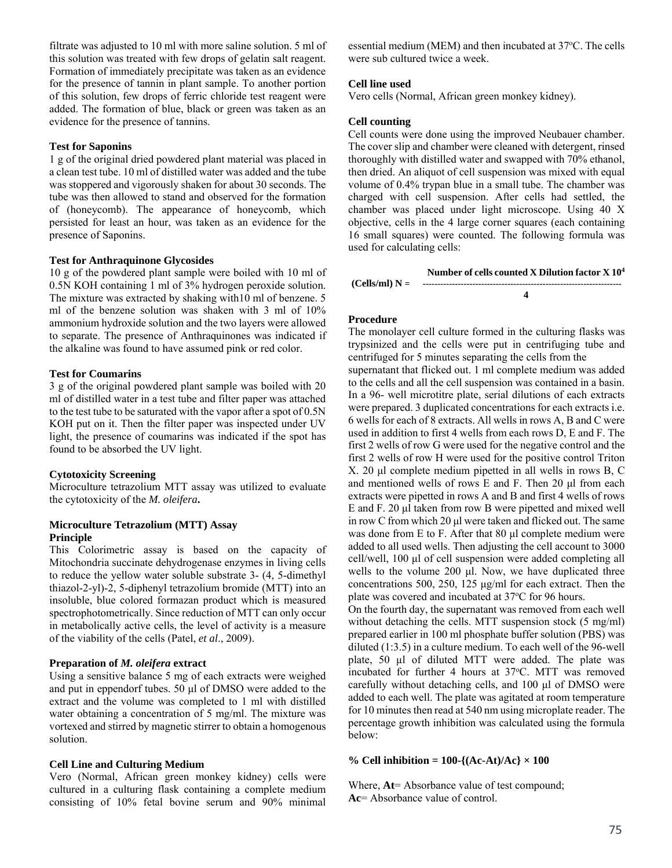filtrate was adjusted to 10 ml with more saline solution. 5 ml of this solution was treated with few drops of gelatin salt reagent. Formation of immediately precipitate was taken as an evidence for the presence of tannin in plant sample. To another portion of this solution, few drops of ferric chloride test reagent were added. The formation of blue, black or green was taken as an evidence for the presence of tannins.

#### **Test for Saponins**

1 g of the original dried powdered plant material was placed in a clean test tube. 10 ml of distilled water was added and the tube was stoppered and vigorously shaken for about 30 seconds. The tube was then allowed to stand and observed for the formation of (honeycomb). The appearance of honeycomb, which persisted for least an hour, was taken as an evidence for the presence of Saponins.

#### **Test for Anthraquinone Glycosides**

10 g of the powdered plant sample were boiled with 10 ml of 0.5N KOH containing 1 ml of 3% hydrogen peroxide solution. The mixture was extracted by shaking with10 ml of benzene. 5 ml of the benzene solution was shaken with 3 ml of 10% ammonium hydroxide solution and the two layers were allowed to separate. The presence of Anthraquinones was indicated if the alkaline was found to have assumed pink or red color.

# **Test for Coumarins**

3 g of the original powdered plant sample was boiled with 20 ml of distilled water in a test tube and filter paper was attached to the test tube to be saturated with the vapor after a spot of 0.5N KOH put on it. Then the filter paper was inspected under UV light, the presence of coumarins was indicated if the spot has found to be absorbed the UV light.

#### **Cytotoxicity Screening**

Microculture tetrazolium MTT assay was utilized to evaluate the cytotoxicity of the *M. oleifera***.** 

# **Microculture Tetrazolium (MTT) Assay Principle**

This Colorimetric assay is based on the capacity of Mitochondria succinate dehydrogenase enzymes in living cells to reduce the yellow water soluble substrate 3- (4, 5-dimethyl thiazol-2-yl)-2, 5-diphenyl tetrazolium bromide (MTT) into an insoluble, blue colored formazan product which is measured spectrophotometrically. Since reduction of MTT can only occur in metabolically active cells, the level of activity is a measure of the viability of the cells (Patel, *et al*., 2009).

# **Preparation of** *M. oleifera* **extract**

Using a sensitive balance 5 mg of each extracts were weighed and put in eppendorf tubes. 50 μl of DMSO were added to the extract and the volume was completed to 1 ml with distilled water obtaining a concentration of 5 mg/ml. The mixture was vortexed and stirred by magnetic stirrer to obtain a homogenous solution.

#### **Cell Line and Culturing Medium**

Vero (Normal, African green monkey kidney) cells were cultured in a culturing flask containing a complete medium consisting of 10% fetal bovine serum and 90% minimal

essential medium (MEM) and then incubated at 37°C. The cells were sub cultured twice a week.

#### **Cell line used**

Vero cells (Normal, African green monkey kidney).

#### **Cell counting**

Cell counts were done using the improved Neubauer chamber. The cover slip and chamber were cleaned with detergent, rinsed thoroughly with distilled water and swapped with 70% ethanol, then dried. An aliquot of cell suspension was mixed with equal volume of 0.4% trypan blue in a small tube. The chamber was charged with cell suspension. After cells had settled, the chamber was placed under light microscope. Using 40 X objective, cells in the 4 large corner squares (each containing 16 small squares) were counted. The following formula was used for calculating cells:

|                  | Number of cells counted X Dilution factor X 10 <sup>4</sup> |
|------------------|-------------------------------------------------------------|
| $(Cells/ml) N =$ |                                                             |
|                  |                                                             |

# **Procedure**

The monolayer cell culture formed in the culturing flasks was trypsinized and the cells were put in centrifuging tube and centrifuged for 5 minutes separating the cells from the

supernatant that flicked out. 1 ml complete medium was added to the cells and all the cell suspension was contained in a basin. In a 96- well microtitre plate, serial dilutions of each extracts were prepared. 3 duplicated concentrations for each extracts i.e. 6 wells for each of 8 extracts. All wells in rows A, B and C were used in addition to first 4 wells from each rows D, E and F. The first 2 wells of row G were used for the negative control and the first 2 wells of row H were used for the positive control Triton X. 20 μl complete medium pipetted in all wells in rows B, C and mentioned wells of rows E and F. Then 20 μl from each extracts were pipetted in rows A and B and first 4 wells of rows E and F. 20 μl taken from row B were pipetted and mixed well in row C from which 20 μl were taken and flicked out. The same was done from E to F. After that 80 μl complete medium were added to all used wells. Then adjusting the cell account to 3000 cell/well, 100 μl of cell suspension were added completing all wells to the volume 200 μl. Now, we have duplicated three concentrations 500, 250, 125 μg/ml for each extract. Then the plate was covered and incubated at 37°C for 96 hours.

On the fourth day, the supernatant was removed from each well without detaching the cells. MTT suspension stock (5 mg/ml) prepared earlier in 100 ml phosphate buffer solution (PBS) was diluted (1:3.5) in a culture medium. To each well of the 96-well plate, 50 µl of diluted MTT were added. The plate was incubated for further 4 hours at 37°C. MTT was removed carefully without detaching cells, and 100 μl of DMSO were added to each well. The plate was agitated at room temperature for 10 minutes then read at 540 nm using microplate reader. The percentage growth inhibition was calculated using the formula below:

#### **% Cell inhibition = 100-{(Ac-At)/Ac} × 100**

Where,  $At = Absorbance value of test compound;$ **Ac**= Absorbance value of control.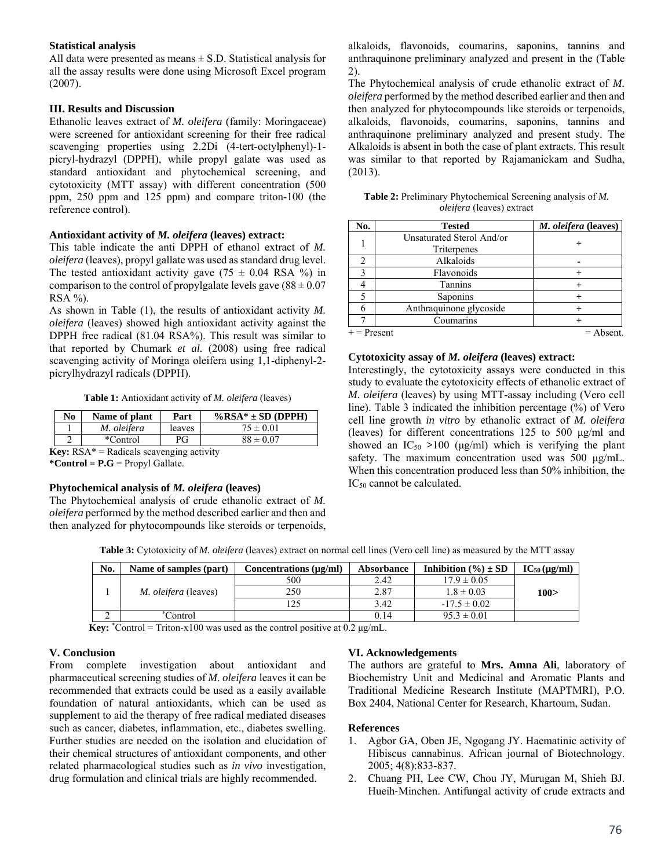## **Statistical analysis**

All data were presented as means  $\pm$  S.D. Statistical analysis for all the assay results were done using Microsoft Excel program (2007).

# **III. Results and Discussion**

Ethanolic leaves extract of *M. oleifera* (family: Moringaceae) were screened for antioxidant screening for their free radical scavenging properties using 2.2Di (4-tert-octylphenyl)-1 picryl-hydrazyl (DPPH), while propyl galate was used as standard antioxidant and phytochemical screening, and cytotoxicity (MTT assay) with different concentration (500 ppm, 250 ppm and 125 ppm) and compare triton-100 (the reference control).

# **Antioxidant activity of** *M. oleifera* **(leaves) extract:**

This table indicate the anti DPPH of ethanol extract of *M. oleifera* (leaves), propyl gallate was used as standard drug level. The tested antioxidant activity gave (75  $\pm$  0.04 RSA %) in comparison to the control of propylgalate levels gave  $(88 \pm 0.07)$  $RSA \%$ ).

As shown in Table (1), the results of antioxidant activity *M. oleifera* (leaves) showed high antioxidant activity against the DPPH free radical (81.04 RSA%). This result was similar to that reported by Chumark *et al.* (2008) using free radical scavenging activity of Moringa oleifera using 1,1-diphenyl-2 picrylhydrazyl radicals (DPPH).

**Table 1:** Antioxidant activity of *M. oleifera* (leaves)

| No | Name of plant | Part   | $\%$ RSA* ± SD (DPPH) |
|----|---------------|--------|-----------------------|
|    | M. oleifera   | leaves | $75 \pm 0.01$         |
|    | *Control      | РG     | $88 \pm 0.07$         |

**Key:** RSA\* = Radicals scavenging activity

**\*Control = P.G** = Propyl Gallate.

#### **Phytochemical analysis of** *M. oleifera* **(leaves)**

The Phytochemical analysis of crude ethanolic extract of *M. oleifera* performed by the method described earlier and then and then analyzed for phytocompounds like steroids or terpenoids, alkaloids, flavonoids, coumarins, saponins, tannins and anthraquinone preliminary analyzed and present in the (Table 2).

The Phytochemical analysis of crude ethanolic extract of *M. oleifera* performed by the method described earlier and then and then analyzed for phytocompounds like steroids or terpenoids, alkaloids, flavonoids, coumarins, saponins, tannins and anthraquinone preliminary analyzed and present study. The Alkaloids is absent in both the case of plant extracts. This result was similar to that reported by Rajamanickam and Sudha, (2013).

| <b>Table 2:</b> Preliminary Phytochemical Screening analysis of M. |
|--------------------------------------------------------------------|
| <i>oleifera</i> (leaves) extract                                   |

| No.           | <b>Tested</b>             | M. oleifera (leaves) |
|---------------|---------------------------|----------------------|
|               | Unsaturated Sterol And/or |                      |
|               | Triterpenes               |                      |
|               | Alkaloids                 |                      |
|               | Flavonoids                |                      |
|               | Tannins                   |                      |
|               | Saponins                  |                      |
|               | Anthraquinone glycoside   |                      |
|               | Coumarins                 |                      |
| $+$ = Present |                           | $=$ Absent.          |

#### **Cytotoxicity assay of** *M. oleifera* **(leaves) extract:**

Interestingly, the cytotoxicity assays were conducted in this study to evaluate the cytotoxicity effects of ethanolic extract of *M. oleifera* (leaves) by using MTT-assay including (Vero cell line). Table 3 indicated the inhibition percentage (%) of Vero cell line growth *in vitro* by ethanolic extract of *M. oleifera* (leaves) for different concentrations 125 to 500 μg/ml and showed an  $IC_{50} > 100$  ( $\mu$ g/ml) which is verifying the plant safety. The maximum concentration used was 500 μg/mL. When this concentration produced less than 50% inhibition, the IC<sub>50</sub> cannot be calculated.

**Table 3:** Cytotoxicity of *M. oleifera* (leaves) extract on normal cell lines (Vero cell line) as measured by the MTT assay

| No. | Name of samples (part)      | Concentrations (µg/ml) | <b>Absorbance</b> | Inhibition $(\% ) \pm SD$ | $IC_{50}$ (µg/ml) |
|-----|-----------------------------|------------------------|-------------------|---------------------------|-------------------|
|     |                             | 500                    | 2.42              | $17.9 \pm 0.05$           |                   |
|     | <i>M. oleifera</i> (leaves) | 250                    | 2.87              | $1.8 \pm 0.03$            | 100 >             |
|     |                             |                        | 3.42              | $-17.5 \pm 0.02$          |                   |
|     | `Control                    |                        | 0.14              | $95.3 \pm 0.01$           |                   |

**Key:**  $*$ Control = Triton-x100 was used as the control positive at 0.2  $\mu$ g/mL.

# **V. Conclusion**

From complete investigation about antioxidant and pharmaceutical screening studies of *M. oleifera* leaves it can be recommended that extracts could be used as a easily available foundation of natural antioxidants, which can be used as supplement to aid the therapy of free radical mediated diseases such as cancer, diabetes, inflammation, etc., diabetes swelling. Further studies are needed on the isolation and elucidation of their chemical structures of antioxidant components, and other related pharmacological studies such as *in vivo* investigation, drug formulation and clinical trials are highly recommended.

# **VI. Acknowledgements**

The authors are grateful to **Mrs. Amna Ali**, laboratory of Biochemistry Unit and Medicinal and Aromatic Plants and Traditional Medicine Research Institute (MAPTMRI), P.O. Box 2404, National Center for Research, Khartoum, Sudan.

#### **References**

- 1. Agbor GA, Oben JE, Ngogang JY. Haematinic activity of Hibiscus cannabinus. African journal of Biotechnology. 2005; 4(8):833-837.
- 2. Chuang PH, Lee CW, Chou JY, Murugan M, Shieh BJ. Hueih‐Minchen. Antifungal activity of crude extracts and